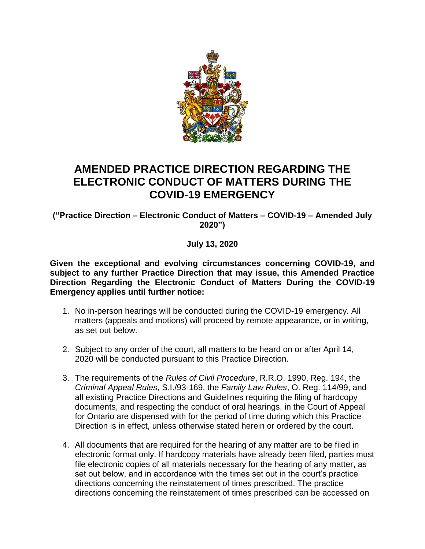

## **AMENDED PRACTICE DIRECTION REGARDING THE ELECTRONIC CONDUCT OF MATTERS DURING THE COVID-19 EMERGENCY**

**("Practice Direction – Electronic Conduct of Matters – COVID-19 – Amended July 2020")**

**July 13, 2020**

**Given the exceptional and evolving circumstances concerning COVID-19, and subject to any further Practice Direction that may issue, this Amended Practice Direction Regarding the Electronic Conduct of Matters During the COVID-19 Emergency applies until further notice:**

- 1. No in-person hearings will be conducted during the COVID-19 emergency. All matters (appeals and motions) will proceed by remote appearance, or in writing, as set out below.
- 2. Subject to any order of the court, all matters to be heard on or after April 14, 2020 will be conducted pursuant to this Practice Direction.
- 3. The requirements of the *Rules of Civil Procedure*, R.R.O. 1990, Reg. 194, the *Criminal Appeal Rules*, S.I./93-169, the *Family Law Rules*, O. Reg. 114/99, and all existing Practice Directions and Guidelines requiring the filing of hardcopy documents, and respecting the conduct of oral hearings, in the Court of Appeal for Ontario are dispensed with for the period of time during which this Practice Direction is in effect, unless otherwise stated herein or ordered by the court.
- 4. All documents that are required for the hearing of any matter are to be filed in electronic format only. If hardcopy materials have already been filed, parties must file electronic copies of all materials necessary for the hearing of any matter, as set out below, and in accordance with the times set out in the court's practice directions concerning the reinstatement of times prescribed. The practice directions concerning the reinstatement of times prescribed can be accessed on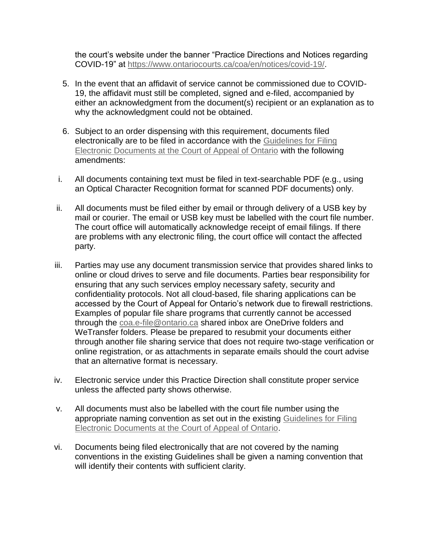the court's website under the banner "Practice Directions and Notices regarding COVID-19" at [https://www.ontariocourts.ca/coa/en/notices/covid-19/.](https://www.ontariocourts.ca/coa/en/notices/covid-19/)

- 5. In the event that an affidavit of service cannot be commissioned due to COVID-19, the affidavit must still be completed, signed and e-filed, accompanied by either an acknowledgment from the document(s) recipient or an explanation as to why the acknowledgment could not be obtained.
- 6. Subject to an order dispensing with this requirement, documents filed electronically are to be filed in accordance with the [Guidelines for Filing](https://www.ontariocourts.ca/coa/en/notices/pd/electronic-filing.htm)  [Electronic Documents at the Court of Appeal of Ontario](https://www.ontariocourts.ca/coa/en/notices/pd/electronic-filing.htm) with the following amendments:
- i. All documents containing text must be filed in text-searchable PDF (e.g., using an Optical Character Recognition format for scanned PDF documents) only.
- ii. All documents must be filed either by email or through delivery of a USB key by mail or courier. The email or USB key must be labelled with the court file number. The court office will automatically acknowledge receipt of email filings. If there are problems with any electronic filing, the court office will contact the affected party.
- iii. Parties may use any document transmission service that provides shared links to online or cloud drives to serve and file documents. Parties bear responsibility for ensuring that any such services employ necessary safety, security and confidentiality protocols. Not all cloud-based, file sharing applications can be accessed by the Court of Appeal for Ontario's network due to firewall restrictions. Examples of popular file share programs that currently cannot be accessed through the [coa.e-file@ontario.ca](mailto:coa.e-file@ontario.ca) shared inbox are OneDrive folders and WeTransfer folders. Please be prepared to resubmit your documents either through another file sharing service that does not require two-stage verification or online registration, or as attachments in separate emails should the court advise that an alternative format is necessary.
- iv. Electronic service under this Practice Direction shall constitute proper service unless the affected party shows otherwise.
- v. All documents must also be labelled with the court file number using the appropriate naming convention as set out in the existing [Guidelines for Filing](https://www.ontariocourts.ca/coa/en/notices/pd/electronic-filing.htm)  [Electronic Documents at the Court of Appeal of Ontario.](https://www.ontariocourts.ca/coa/en/notices/pd/electronic-filing.htm)
- vi. Documents being filed electronically that are not covered by the naming conventions in the existing Guidelines shall be given a naming convention that will identify their contents with sufficient clarity.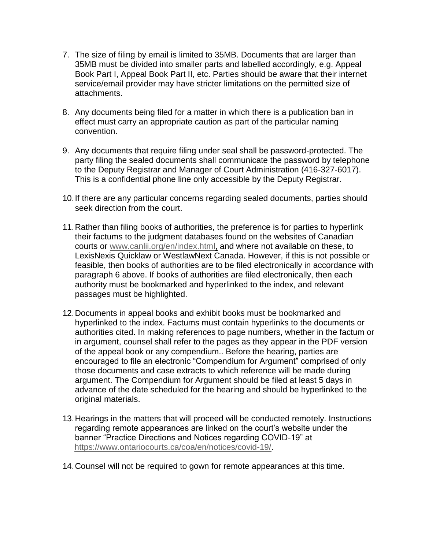- 7. The size of filing by email is limited to 35MB. Documents that are larger than 35MB must be divided into smaller parts and labelled accordingly, e.g. Appeal Book Part I, Appeal Book Part II, etc. Parties should be aware that their internet service/email provider may have stricter limitations on the permitted size of attachments.
- 8. Any documents being filed for a matter in which there is a publication ban in effect must carry an appropriate caution as part of the particular naming convention.
- 9. Any documents that require filing under seal shall be password-protected. The party filing the sealed documents shall communicate the password by telephone to the Deputy Registrar and Manager of Court Administration (416-327-6017). This is a confidential phone line only accessible by the Deputy Registrar.
- 10.If there are any particular concerns regarding sealed documents, parties should seek direction from the court.
- 11.Rather than filing books of authorities, the preference is for parties to hyperlink their factums to the judgment databases found on the websites of Canadian courts or [www.canlii.org/en/index.html,](http://www.canlii.org/en/index.html) and where not available on these, to LexisNexis Quicklaw or WestlawNext Canada. However, if this is not possible or feasible, then books of authorities are to be filed electronically in accordance with paragraph 6 above. If books of authorities are filed electronically, then each authority must be bookmarked and hyperlinked to the index, and relevant passages must be highlighted.
- 12.Documents in appeal books and exhibit books must be bookmarked and hyperlinked to the index. Factums must contain hyperlinks to the documents or authorities cited. In making references to page numbers, whether in the factum or in argument, counsel shall refer to the pages as they appear in the PDF version of the appeal book or any compendium.. Before the hearing, parties are encouraged to file an electronic "Compendium for Argument" comprised of only those documents and case extracts to which reference will be made during argument. The Compendium for Argument should be filed at least 5 days in advance of the date scheduled for the hearing and should be hyperlinked to the original materials.
- 13.Hearings in the matters that will proceed will be conducted remotely. Instructions regarding remote appearances are linked on the court's website under the banner "Practice Directions and Notices regarding COVID-19" at [https://www.ontariocourts.ca/coa/en/notices/covid-19/.](https://www.ontariocourts.ca/coa/en/notices/covid-19/)
- 14.Counsel will not be required to gown for remote appearances at this time.